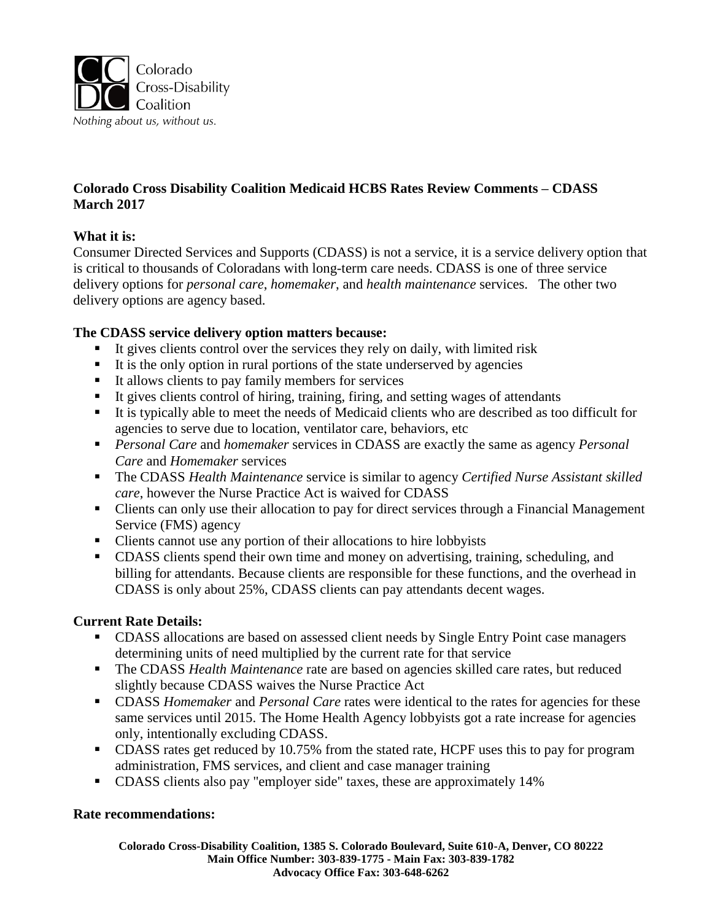

# **Colorado Cross Disability Coalition Medicaid HCBS Rates Review Comments – CDASS March 2017**

# **What it is:**

Consumer Directed Services and Supports (CDASS) is not a service, it is a service delivery option that is critical to thousands of Coloradans with long-term care needs. CDASS is one of three service delivery options for *personal care*, *homemaker*, and *health maintenance* services. The other two delivery options are agency based.

### **The CDASS service delivery option matters because:**

- $\blacksquare$  It gives clients control over the services they rely on daily, with limited risk
- $\blacksquare$  It is the only option in rural portions of the state underserved by agencies
- It allows clients to pay family members for services
- It gives clients control of hiring, training, firing, and setting wages of attendants
- It is typically able to meet the needs of Medicaid clients who are described as too difficult for agencies to serve due to location, ventilator care, behaviors, etc
- *Personal Care* and *homemaker* services in CDASS are exactly the same as agency *Personal Care* and *Homemaker* services
- The CDASS *Health Maintenance* service is similar to agency *Certified Nurse Assistant skilled care*, however the Nurse Practice Act is waived for CDASS
- Clients can only use their allocation to pay for direct services through a Financial Management Service (FMS) agency
- Clients cannot use any portion of their allocations to hire lobbyists
- CDASS clients spend their own time and money on advertising, training, scheduling, and billing for attendants. Because clients are responsible for these functions, and the overhead in CDASS is only about 25%, CDASS clients can pay attendants decent wages.

# **Current Rate Details:**

- CDASS allocations are based on assessed client needs by Single Entry Point case managers determining units of need multiplied by the current rate for that service
- The CDASS *Health Maintenance* rate are based on agencies skilled care rates, but reduced slightly because CDASS waives the Nurse Practice Act
- CDASS *Homemaker* and *Personal Care* rates were identical to the rates for agencies for these same services until 2015. The Home Health Agency lobbyists got a rate increase for agencies only, intentionally excluding CDASS.
- CDASS rates get reduced by 10.75% from the stated rate, HCPF uses this to pay for program administration, FMS services, and client and case manager training
- CDASS clients also pay "employer side" taxes, these are approximately 14%

#### **Rate recommendations:**

**Colorado Cross-Disability Coalition, 1385 S. Colorado Boulevard, Suite 610-A, Denver, CO 80222 Main Office Number: 303-839-1775 - Main Fax: 303-839-1782 Advocacy Office Fax: 303-648-6262**